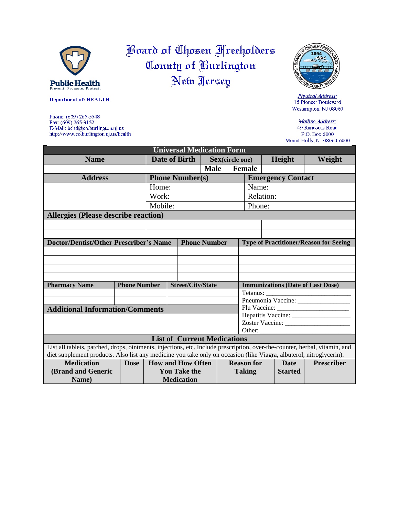

**Department of: HEALTH** 

Fax:  $(609)$  265-3152<br>E-Mail: bchd@co.burlington.nj.us

http://www.co.burlington.nj.us/health

Phone: (609) 265-5548

## Board of Chosen Freeholders County of Burlington New Jersey



Physical Address: 15 Pioneer Boulevard Westampton, NJ 08060

Mailing Address: 49 Rancocas Road P.O. Box 6000 Mount Holly, NJ 08060-6000

| <b>Universal Medication Form</b>                                                                                           |             |                                                 |  |                     |                         |                                               |                |                   |        |  |
|----------------------------------------------------------------------------------------------------------------------------|-------------|-------------------------------------------------|--|---------------------|-------------------------|-----------------------------------------------|----------------|-------------------|--------|--|
| <b>Name</b>                                                                                                                |             | Date of Birth                                   |  |                     | <b>Sex</b> (circle one) |                                               |                | Height            | Weight |  |
|                                                                                                                            |             |                                                 |  | <b>Male</b>         |                         | <b>Female</b>                                 |                |                   |        |  |
| <b>Address</b>                                                                                                             |             | <b>Phone Number(s)</b>                          |  |                     |                         | <b>Emergency Contact</b>                      |                |                   |        |  |
|                                                                                                                            |             | Home:                                           |  |                     |                         | Name:                                         |                |                   |        |  |
|                                                                                                                            |             | Work:                                           |  |                     |                         | Relation:                                     |                |                   |        |  |
|                                                                                                                            |             | Mobile:                                         |  |                     |                         | Phone:                                        |                |                   |        |  |
| <b>Allergies (Please describe reaction)</b>                                                                                |             |                                                 |  |                     |                         |                                               |                |                   |        |  |
|                                                                                                                            |             |                                                 |  |                     |                         |                                               |                |                   |        |  |
|                                                                                                                            |             |                                                 |  |                     |                         |                                               |                |                   |        |  |
| <b>Doctor/Dentist/Other Prescriber's Name</b>                                                                              |             |                                                 |  | <b>Phone Number</b> |                         | <b>Type of Practitioner/Reason for Seeing</b> |                |                   |        |  |
|                                                                                                                            |             |                                                 |  |                     |                         |                                               |                |                   |        |  |
|                                                                                                                            |             |                                                 |  |                     |                         |                                               |                |                   |        |  |
|                                                                                                                            |             |                                                 |  |                     |                         |                                               |                |                   |        |  |
|                                                                                                                            |             |                                                 |  |                     |                         |                                               |                |                   |        |  |
| <b>Pharmacy Name</b>                                                                                                       |             | <b>Phone Number</b><br><b>Street/City/State</b> |  |                     |                         | <b>Immunizations (Date of Last Dose)</b>      |                |                   |        |  |
|                                                                                                                            |             |                                                 |  |                     |                         | Tetanus:                                      |                |                   |        |  |
|                                                                                                                            |             |                                                 |  |                     |                         |                                               |                |                   |        |  |
| <b>Additional Information/Comments</b>                                                                                     |             |                                                 |  |                     |                         |                                               |                |                   |        |  |
|                                                                                                                            |             |                                                 |  |                     |                         |                                               |                |                   |        |  |
|                                                                                                                            |             |                                                 |  |                     |                         |                                               |                |                   |        |  |
| <b>List of Current Medications</b>                                                                                         |             |                                                 |  |                     |                         |                                               |                |                   |        |  |
| List all tablets, patched, drops, ointments, injections, etc. Include prescription, over-the-counter, herbal, vitamin, and |             |                                                 |  |                     |                         |                                               |                |                   |        |  |
| diet supplement products. Also list any medicine you take only on occasion (like Viagra, albuterol, nitroglycerin).        |             |                                                 |  |                     |                         |                                               |                |                   |        |  |
| <b>Medication</b>                                                                                                          | <b>Dose</b> | <b>How and How Often</b>                        |  | <b>Reason for</b>   |                         |                                               | <b>Date</b>    | <b>Prescriber</b> |        |  |
| (Brand and Generic                                                                                                         |             | <b>You Take the</b>                             |  |                     | <b>Taking</b>           |                                               | <b>Started</b> |                   |        |  |
| Name)                                                                                                                      |             | <b>Medication</b>                               |  |                     |                         |                                               |                |                   |        |  |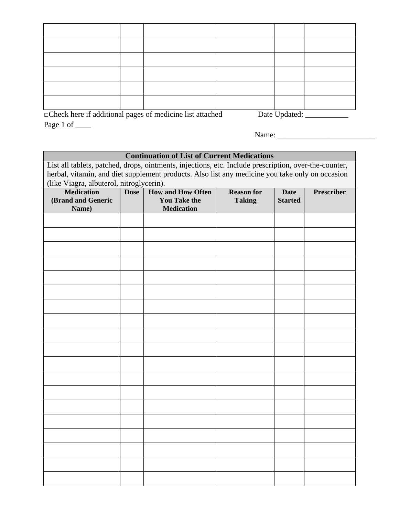| $\n  Chack has if additional nonzero of modifications list attable$<br>$Data$ Undetade |  |  |  |  |  |  |
|----------------------------------------------------------------------------------------|--|--|--|--|--|--|

□Check here if additional pages of medicine list attached Date Updated: \_\_\_\_\_\_\_\_\_\_\_ Page 1 of \_\_\_\_\_

Name: \_\_\_\_\_\_\_\_\_\_\_\_\_\_\_\_\_\_\_\_\_\_\_\_\_

## **Continuation of List of Current Medications**

List all tablets, patched, drops, ointments, injections, etc. Include prescription, over-the-counter, herbal, vitamin, and diet supplement products. Also list any medicine you take only on occasion (like Viagra, albuterol, nitroglycerin). **Medication (Brand and Generic Name) Dose How and How Often You Take the Medication Reason for Taking Date Started Prescriber**